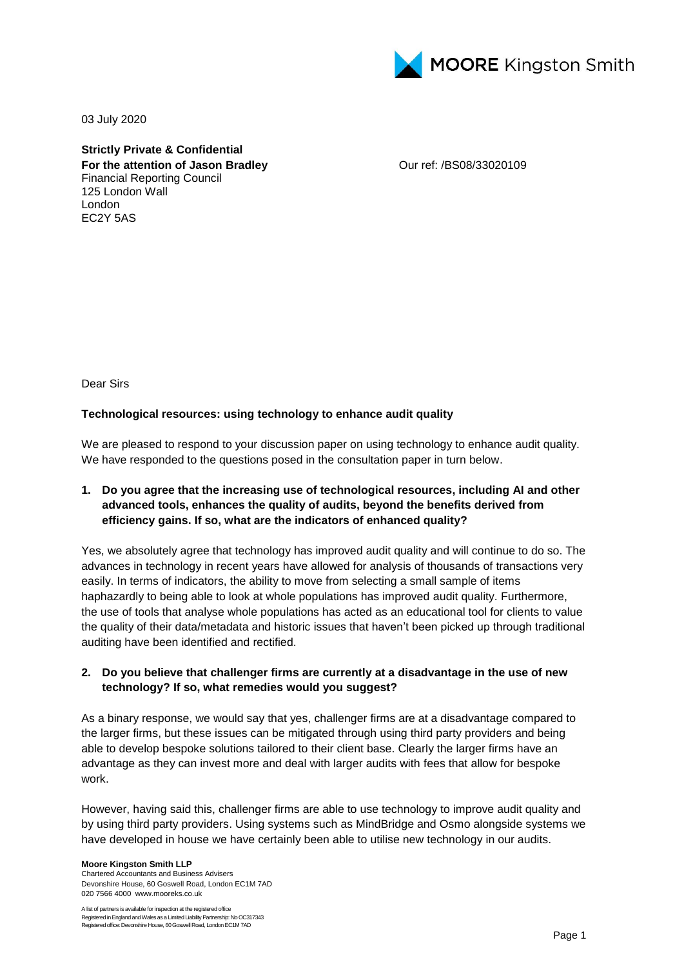

03 July 2020

**Strictly Private & Confidential For the attention of Jason Bradley** Financial Reporting Council 125 London Wall London EC2Y 5AS

Our ref: /BS08/33020109

Dear Sirs

#### **Technological resources: using technology to enhance audit quality**

We are pleased to respond to your discussion paper on using technology to enhance audit quality. We have responded to the questions posed in the consultation paper in turn below.

### **1. Do you agree that the increasing use of technological resources, including AI and other advanced tools, enhances the quality of audits, beyond the benefits derived from efficiency gains. If so, what are the indicators of enhanced quality?**

Yes, we absolutely agree that technology has improved audit quality and will continue to do so. The advances in technology in recent years have allowed for analysis of thousands of transactions very easily. In terms of indicators, the ability to move from selecting a small sample of items haphazardly to being able to look at whole populations has improved audit quality. Furthermore, the use of tools that analyse whole populations has acted as an educational tool for clients to value the quality of their data/metadata and historic issues that haven't been picked up through traditional auditing have been identified and rectified.

#### **2. Do you believe that challenger firms are currently at a disadvantage in the use of new technology? If so, what remedies would you suggest?**

As a binary response, we would say that yes, challenger firms are at a disadvantage compared to the larger firms, but these issues can be mitigated through using third party providers and being able to develop bespoke solutions tailored to their client base. Clearly the larger firms have an advantage as they can invest more and deal with larger audits with fees that allow for bespoke work.

However, having said this, challenger firms are able to use technology to improve audit quality and by using third party providers. Using systems such as MindBridge and Osmo alongside systems we have developed in house we have certainly been able to utilise new technology in our audits.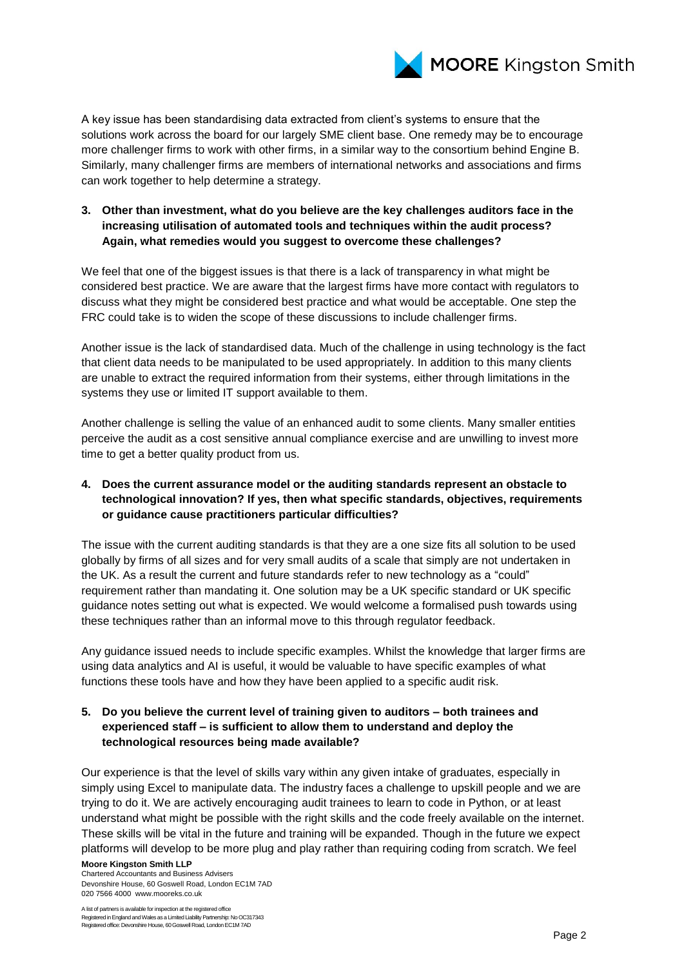

A key issue has been standardising data extracted from client's systems to ensure that the solutions work across the board for our largely SME client base. One remedy may be to encourage more challenger firms to work with other firms, in a similar way to the consortium behind Engine B. Similarly, many challenger firms are members of international networks and associations and firms can work together to help determine a strategy.

### **3. Other than investment, what do you believe are the key challenges auditors face in the increasing utilisation of automated tools and techniques within the audit process? Again, what remedies would you suggest to overcome these challenges?**

We feel that one of the biggest issues is that there is a lack of transparency in what might be considered best practice. We are aware that the largest firms have more contact with regulators to discuss what they might be considered best practice and what would be acceptable. One step the FRC could take is to widen the scope of these discussions to include challenger firms.

Another issue is the lack of standardised data. Much of the challenge in using technology is the fact that client data needs to be manipulated to be used appropriately. In addition to this many clients are unable to extract the required information from their systems, either through limitations in the systems they use or limited IT support available to them.

Another challenge is selling the value of an enhanced audit to some clients. Many smaller entities perceive the audit as a cost sensitive annual compliance exercise and are unwilling to invest more time to get a better quality product from us.

# **4. Does the current assurance model or the auditing standards represent an obstacle to technological innovation? If yes, then what specific standards, objectives, requirements or guidance cause practitioners particular difficulties?**

The issue with the current auditing standards is that they are a one size fits all solution to be used globally by firms of all sizes and for very small audits of a scale that simply are not undertaken in the UK. As a result the current and future standards refer to new technology as a "could" requirement rather than mandating it. One solution may be a UK specific standard or UK specific guidance notes setting out what is expected. We would welcome a formalised push towards using these techniques rather than an informal move to this through regulator feedback.

Any guidance issued needs to include specific examples. Whilst the knowledge that larger firms are using data analytics and AI is useful, it would be valuable to have specific examples of what functions these tools have and how they have been applied to a specific audit risk.

# **5. Do you believe the current level of training given to auditors – both trainees and experienced staff – is sufficient to allow them to understand and deploy the technological resources being made available?**

Our experience is that the level of skills vary within any given intake of graduates, especially in simply using Excel to manipulate data. The industry faces a challenge to upskill people and we are trying to do it. We are actively encouraging audit trainees to learn to code in Python, or at least understand what might be possible with the right skills and the code freely available on the internet. These skills will be vital in the future and training will be expanded. Though in the future we expect platforms will develop to be more plug and play rather than requiring coding from scratch. We feel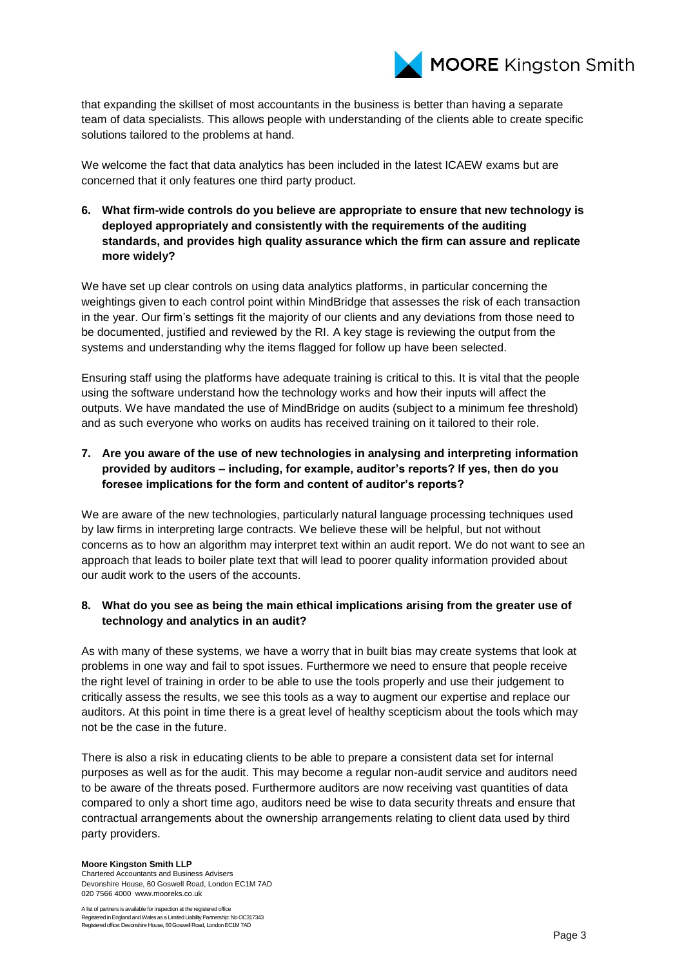

that expanding the skillset of most accountants in the business is better than having a separate team of data specialists. This allows people with understanding of the clients able to create specific solutions tailored to the problems at hand.

We welcome the fact that data analytics has been included in the latest ICAEW exams but are concerned that it only features one third party product.

**6. What firm-wide controls do you believe are appropriate to ensure that new technology is deployed appropriately and consistently with the requirements of the auditing standards, and provides high quality assurance which the firm can assure and replicate more widely?**

We have set up clear controls on using data analytics platforms, in particular concerning the weightings given to each control point within MindBridge that assesses the risk of each transaction in the year. Our firm's settings fit the majority of our clients and any deviations from those need to be documented, justified and reviewed by the RI. A key stage is reviewing the output from the systems and understanding why the items flagged for follow up have been selected.

Ensuring staff using the platforms have adequate training is critical to this. It is vital that the people using the software understand how the technology works and how their inputs will affect the outputs. We have mandated the use of MindBridge on audits (subject to a minimum fee threshold) and as such everyone who works on audits has received training on it tailored to their role.

**7. Are you aware of the use of new technologies in analysing and interpreting information provided by auditors – including, for example, auditor's reports? If yes, then do you foresee implications for the form and content of auditor's reports?**

We are aware of the new technologies, particularly natural language processing techniques used by law firms in interpreting large contracts. We believe these will be helpful, but not without concerns as to how an algorithm may interpret text within an audit report. We do not want to see an approach that leads to boiler plate text that will lead to poorer quality information provided about our audit work to the users of the accounts.

#### **8. What do you see as being the main ethical implications arising from the greater use of technology and analytics in an audit?**

As with many of these systems, we have a worry that in built bias may create systems that look at problems in one way and fail to spot issues. Furthermore we need to ensure that people receive the right level of training in order to be able to use the tools properly and use their judgement to critically assess the results, we see this tools as a way to augment our expertise and replace our auditors. At this point in time there is a great level of healthy scepticism about the tools which may not be the case in the future.

There is also a risk in educating clients to be able to prepare a consistent data set for internal purposes as well as for the audit. This may become a regular non-audit service and auditors need to be aware of the threats posed. Furthermore auditors are now receiving vast quantities of data compared to only a short time ago, auditors need be wise to data security threats and ensure that contractual arrangements about the ownership arrangements relating to client data used by third party providers.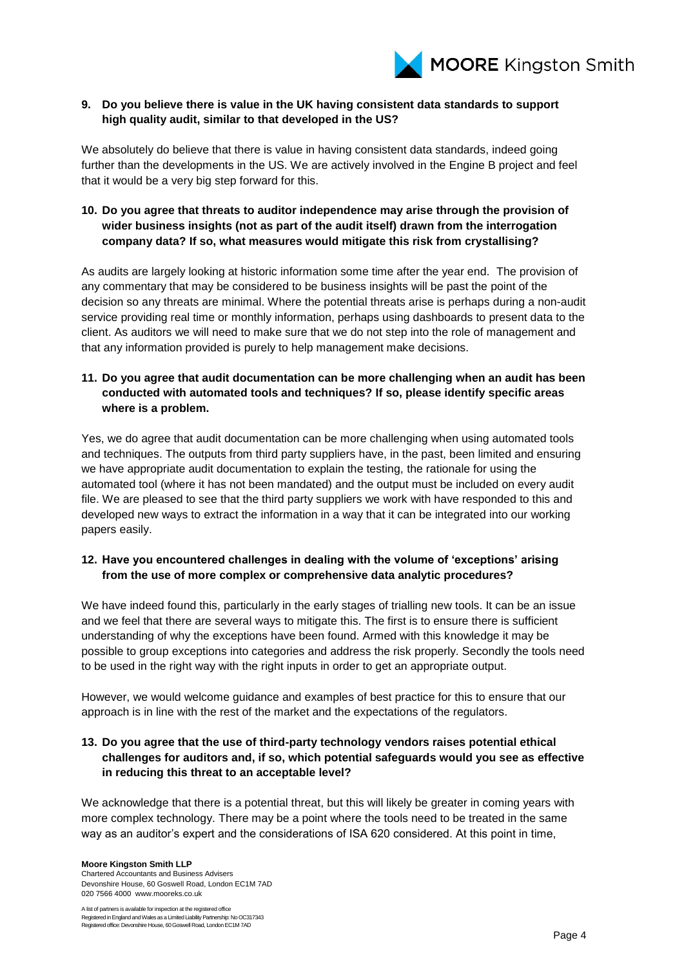

### **9. Do you believe there is value in the UK having consistent data standards to support high quality audit, similar to that developed in the US?**

We absolutely do believe that there is value in having consistent data standards, indeed going further than the developments in the US. We are actively involved in the Engine B project and feel that it would be a very big step forward for this.

# **10. Do you agree that threats to auditor independence may arise through the provision of wider business insights (not as part of the audit itself) drawn from the interrogation company data? If so, what measures would mitigate this risk from crystallising?**

As audits are largely looking at historic information some time after the year end. The provision of any commentary that may be considered to be business insights will be past the point of the decision so any threats are minimal. Where the potential threats arise is perhaps during a non-audit service providing real time or monthly information, perhaps using dashboards to present data to the client. As auditors we will need to make sure that we do not step into the role of management and that any information provided is purely to help management make decisions.

# **11. Do you agree that audit documentation can be more challenging when an audit has been conducted with automated tools and techniques? If so, please identify specific areas where is a problem.**

Yes, we do agree that audit documentation can be more challenging when using automated tools and techniques. The outputs from third party suppliers have, in the past, been limited and ensuring we have appropriate audit documentation to explain the testing, the rationale for using the automated tool (where it has not been mandated) and the output must be included on every audit file. We are pleased to see that the third party suppliers we work with have responded to this and developed new ways to extract the information in a way that it can be integrated into our working papers easily.

### **12. Have you encountered challenges in dealing with the volume of 'exceptions' arising from the use of more complex or comprehensive data analytic procedures?**

We have indeed found this, particularly in the early stages of trialling new tools. It can be an issue and we feel that there are several ways to mitigate this. The first is to ensure there is sufficient understanding of why the exceptions have been found. Armed with this knowledge it may be possible to group exceptions into categories and address the risk properly. Secondly the tools need to be used in the right way with the right inputs in order to get an appropriate output.

However, we would welcome guidance and examples of best practice for this to ensure that our approach is in line with the rest of the market and the expectations of the regulators.

### **13. Do you agree that the use of third-party technology vendors raises potential ethical challenges for auditors and, if so, which potential safeguards would you see as effective in reducing this threat to an acceptable level?**

We acknowledge that there is a potential threat, but this will likely be greater in coming years with more complex technology. There may be a point where the tools need to be treated in the same way as an auditor's expert and the considerations of ISA 620 considered. At this point in time,